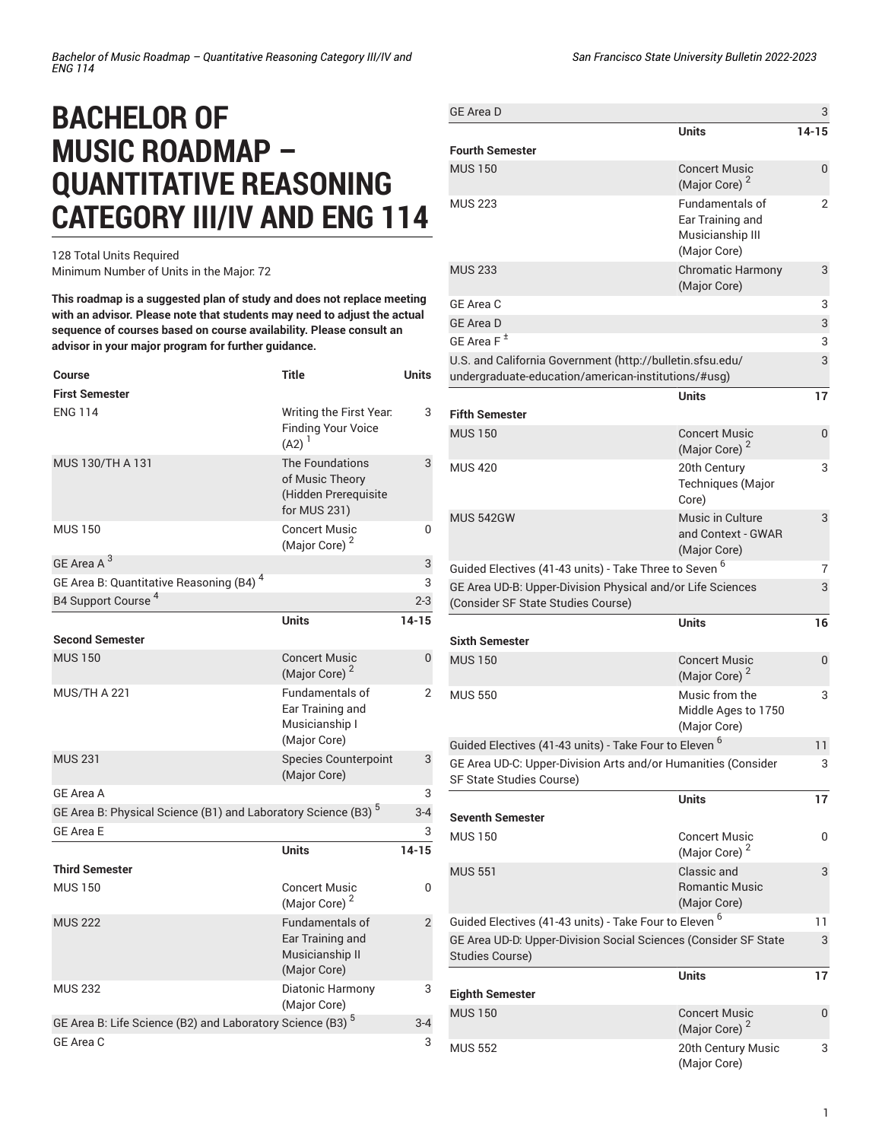## **BACHELOR OF MUSIC ROADMAP – QUANTITATIVE REASONING CATEGORY III/IV AND ENG 114**

128 Total Units Required Minimum Number of Units in the Major: 72

**This roadmap is a suggested plan of study and does not replace meeting with an advisor. Please note that students may need to adjust the actual sequence of courses based on course availability. Please consult an advisor in your major program for further guidance.**

| Course<br><b>First Semester</b>                                           | Title                                                                             | Units          |
|---------------------------------------------------------------------------|-----------------------------------------------------------------------------------|----------------|
| <b>ENG 114</b>                                                            | Writing the First Year.<br><b>Finding Your Voice</b><br>$(A2)^{1}$                | 3              |
| MUS 130/TH A 131                                                          | <b>The Foundations</b><br>of Music Theorv<br>(Hidden Prerequisite<br>for MUS 231) | 3              |
| <b>MUS 150</b>                                                            | <b>Concert Music</b><br>(Major Core) <sup>2</sup>                                 | 0              |
| GE Area A <sup>3</sup>                                                    |                                                                                   | 3              |
| GE Area B: Quantitative Reasoning (B4) <sup>4</sup>                       |                                                                                   | 3              |
| B4 Support Course <sup>4</sup>                                            |                                                                                   | $2 - 3$        |
|                                                                           | <b>Units</b>                                                                      | $14 - 15$      |
| <b>Second Semester</b>                                                    |                                                                                   |                |
| <b>MUS 150</b>                                                            | <b>Concert Music</b><br>(Major Core) <sup>2</sup>                                 | $\mathbf{0}$   |
| <b>MUS/TH A 221</b>                                                       | <b>Fundamentals of</b><br>Ear Training and<br>Musicianship I<br>(Major Core)      | 2              |
| <b>MUS 231</b>                                                            | <b>Species Counterpoint</b><br>(Major Core)                                       | 3              |
| <b>GE Area A</b>                                                          |                                                                                   | 3              |
| GE Area B: Physical Science (B1) and Laboratory Science (B3) <sup>5</sup> |                                                                                   | $3 - 4$        |
| <b>GF Area F</b>                                                          |                                                                                   | 3              |
|                                                                           | <b>Units</b>                                                                      | $14 - 15$      |
| <b>Third Semester</b>                                                     |                                                                                   |                |
| <b>MUS 150</b>                                                            | <b>Concert Music</b><br>(Major Core) <sup>2</sup>                                 | 0              |
| <b>MUS 222</b>                                                            | <b>Fundamentals of</b><br>Ear Training and<br>Musicianship II<br>(Major Core)     | $\overline{2}$ |
| <b>MUS 232</b>                                                            | Diatonic Harmony<br>(Major Core)                                                  | 3              |
| GE Area B: Life Science (B2) and Laboratory Science (B3) <sup>5</sup>     |                                                                                   | $3 - 4$        |
| GE Area C                                                                 |                                                                                   | 3              |

| <b>GE Area D</b>                                                                                                 |                                                                                | 3            |
|------------------------------------------------------------------------------------------------------------------|--------------------------------------------------------------------------------|--------------|
|                                                                                                                  | Units                                                                          | 14-15        |
| <b>Fourth Semester</b>                                                                                           |                                                                                |              |
| <b>MUS 150</b>                                                                                                   | <b>Concert Music</b><br>(Major Core) <sup>2</sup>                              | 0            |
| <b>MUS 223</b>                                                                                                   | <b>Fundamentals of</b><br>Ear Training and<br>Musicianship III<br>(Major Core) | 2            |
| <b>MUS 233</b>                                                                                                   | <b>Chromatic Harmony</b><br>(Major Core)                                       | 3            |
| GE Area C                                                                                                        |                                                                                | 3            |
| <b>GE Area D</b>                                                                                                 |                                                                                | 3            |
| GE Area F <sup>±</sup>                                                                                           |                                                                                | 3            |
| U.S. and California Government (http://bulletin.sfsu.edu/<br>undergraduate-education/american-institutions/#usg) |                                                                                | 3            |
|                                                                                                                  | <b>Units</b>                                                                   | 17           |
| <b>Fifth Semester</b>                                                                                            |                                                                                |              |
| <b>MUS 150</b>                                                                                                   | <b>Concert Music</b><br>(Major Core) <sup>2</sup>                              | $\mathbf{0}$ |
| <b>MUS 420</b>                                                                                                   | 20th Century<br>Techniques (Major<br>Core)                                     | 3            |
| <b>MUS 542GW</b>                                                                                                 | Music in Culture<br>and Context - GWAR<br>(Major Core)                         | 3            |
| Guided Electives (41-43 units) - Take Three to Seven <sup>6</sup>                                                |                                                                                | 7            |
| GE Area UD-B: Upper-Division Physical and/or Life Sciences<br>(Consider SF State Studies Course)                 |                                                                                | 3            |
|                                                                                                                  | <b>Units</b>                                                                   | 16           |
| <b>Sixth Semester</b>                                                                                            |                                                                                |              |
| <b>MUS 150</b>                                                                                                   | <b>Concert Music</b>                                                           | 0            |
|                                                                                                                  | (Major Core)                                                                   |              |
| <b>MUS 550</b>                                                                                                   | Music from the<br>Middle Ages to 1750<br>(Major Core)                          | 3            |
| Guided Electives (41-43 units) - Take Four to Eleven <sup>6</sup>                                                |                                                                                | 11           |
| GE Area UD-C: Upper-Division Arts and/or Humanities (Consider<br>SF State Studies Course)                        |                                                                                | 3            |
|                                                                                                                  | <b>Units</b>                                                                   | 17           |
| <b>Seventh Semester</b>                                                                                          |                                                                                |              |
| <b>MUS 150</b>                                                                                                   | <b>Concert Music</b><br>(Major Core) <sup>2</sup>                              | 0            |
| <b>MUS 551</b>                                                                                                   | Classic and<br><b>Romantic Music</b><br>(Major Core)                           | 3            |
| Guided Electives (41-43 units) - Take Four to Eleven <sup>6</sup>                                                |                                                                                | 11           |
| GE Area UD-D: Upper-Division Social Sciences (Consider SF State<br>Studies Course)                               |                                                                                | 3            |
|                                                                                                                  | <b>Units</b>                                                                   | 17           |
| <b>Eighth Semester</b><br><b>MUS 150</b>                                                                         | <b>Concert Music</b>                                                           | 0            |
|                                                                                                                  | (Major Core) <sup>2</sup>                                                      |              |
| <b>MUS 552</b>                                                                                                   | 20th Century Music<br>(Major Core)                                             | 3            |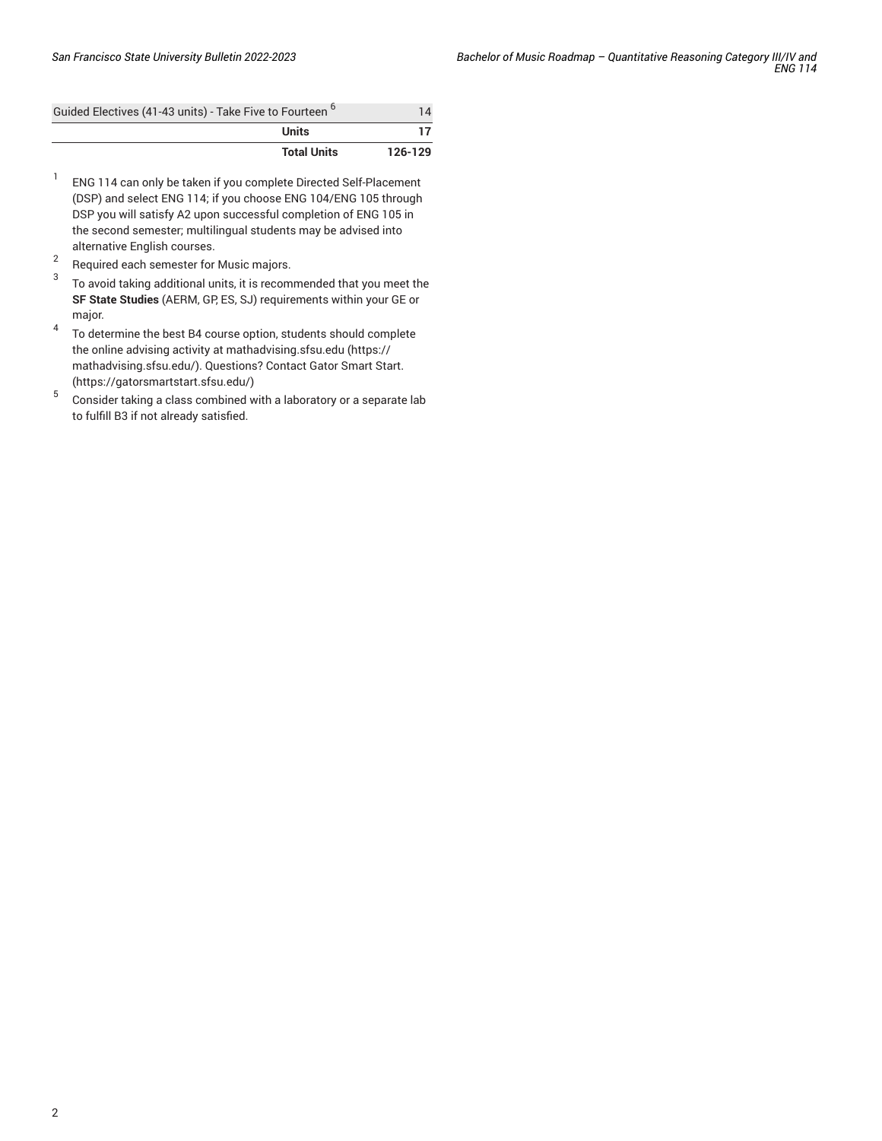| Guided Electives (41-43 units) - Take Five to Fourteen <sup>b</sup> | 14      |
|---------------------------------------------------------------------|---------|
| Units                                                               |         |
| <b>Total Units</b>                                                  | 126-129 |

- 1 ENG 114 can only be taken if you complete Directed Self-Placement (DSP) and select ENG 114; if you choose ENG 104/ENG 105 through DSP you will satisfy A2 upon successful completion of ENG 105 in the second semester; multilingual students may be advised into alternative English courses.
- 2 Required each semester for Music majors.
- 3 To avoid taking additional units, it is recommended that you meet the **SF State Studies** (AERM, GP, ES, SJ) requirements within your GE or major.
- 4 To determine the best B4 course option, students should complete the online advising activity at [mathadvising.sfsu.edu](https://mathadvising.sfsu.edu/) ([https://](https://mathadvising.sfsu.edu/) [mathadvising.sfsu.edu/\)](https://mathadvising.sfsu.edu/). Questions? Contact Gator [Smart](https://gatorsmartstart.sfsu.edu/) Start. ([https://gatorsmartstart.sfsu.edu/\)](https://gatorsmartstart.sfsu.edu/)
- 5 Consider taking a class combined with a laboratory or a separate lab to fulfill B3 if not already satisfied.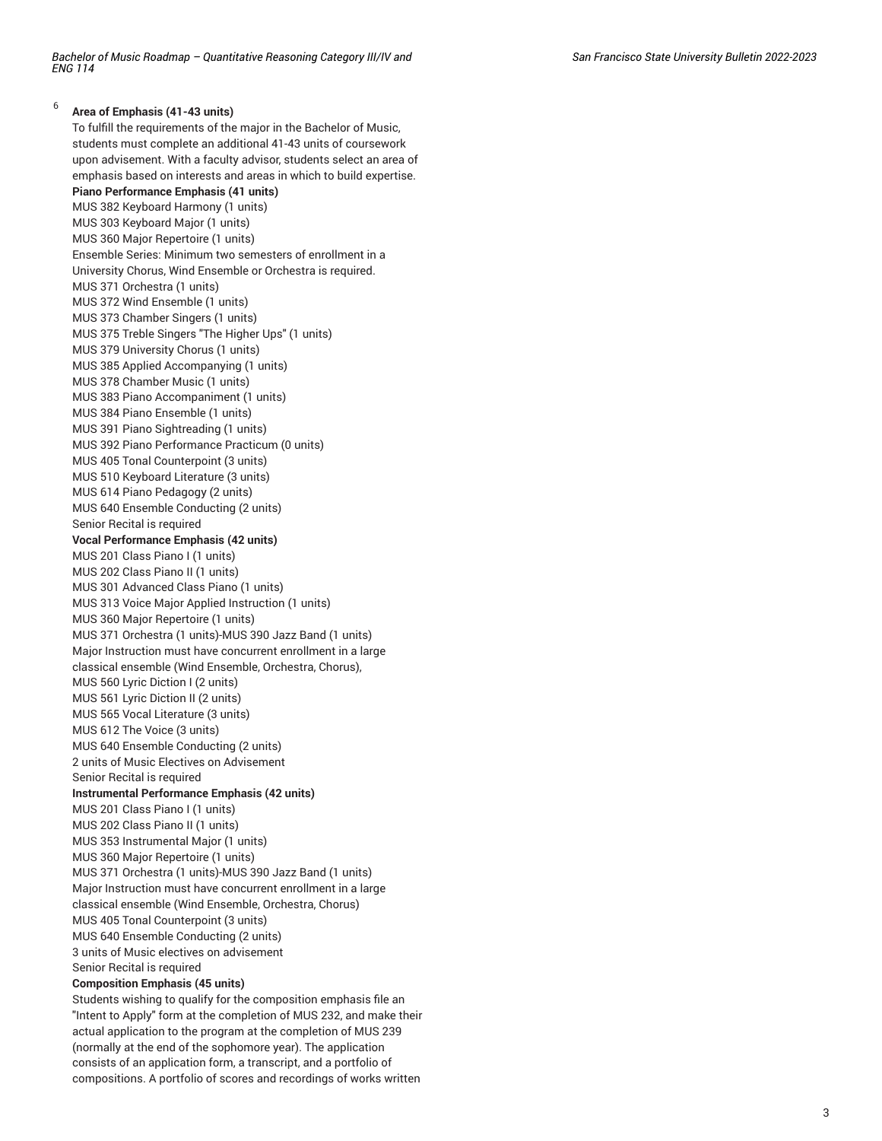## 6 **Area of Emphasis (41-43 units)**

To fulfill the requirements of the major in the Bachelor of Music, students must complete an additional 41-43 units of coursework upon advisement. With a faculty advisor, students select an area of emphasis based on interests and areas in which to build expertise. **Piano Performance Emphasis (41 units)** MUS 382 Keyboard Harmony (1 units) MUS 303 Keyboard Major (1 units) MUS 360 Major Repertoire (1 units) Ensemble Series: Minimum two semesters of enrollment in a University Chorus, Wind Ensemble or Orchestra is required. MUS 371 Orchestra (1 units) MUS 372 Wind Ensemble (1 units) MUS 373 Chamber Singers (1 units) MUS 375 Treble Singers "The Higher Ups" (1 units) MUS 379 University Chorus (1 units) MUS 385 Applied Accompanying (1 units) MUS 378 Chamber Music (1 units) MUS 383 Piano Accompaniment (1 units) MUS 384 Piano Ensemble (1 units) MUS 391 Piano Sightreading (1 units) MUS 392 Piano Performance Practicum (0 units) MUS 405 Tonal Counterpoint (3 units) MUS 510 Keyboard Literature (3 units) MUS 614 Piano Pedagogy (2 units) MUS 640 Ensemble Conducting (2 units) Senior Recital is required **Vocal Performance Emphasis (42 units)** MUS 201 Class Piano I (1 units) MUS 202 Class Piano II (1 units) MUS 301 Advanced Class Piano (1 units) MUS 313 Voice Major Applied Instruction (1 units) MUS 360 Major Repertoire (1 units) MUS 371 Orchestra (1 units)-MUS 390 Jazz Band (1 units) Major Instruction must have concurrent enrollment in a large classical ensemble (Wind Ensemble, Orchestra, Chorus), MUS 560 Lyric Diction I (2 units) MUS 561 Lyric Diction II (2 units) MUS 565 Vocal Literature (3 units) MUS 612 The Voice (3 units) MUS 640 Ensemble Conducting (2 units) 2 units of Music Electives on Advisement Senior Recital is required **Instrumental Performance Emphasis (42 units)** MUS 201 Class Piano I (1 units) MUS 202 Class Piano II (1 units) MUS 353 Instrumental Major (1 units) MUS 360 Major Repertoire (1 units) MUS 371 Orchestra (1 units)-MUS 390 Jazz Band (1 units) Major Instruction must have concurrent enrollment in a large classical ensemble (Wind Ensemble, Orchestra, Chorus) MUS 405 Tonal Counterpoint (3 units) MUS 640 Ensemble Conducting (2 units) 3 units of Music electives on advisement Senior Recital is required **Composition Emphasis (45 units)** Students wishing to qualify for the composition emphasis file an

"Intent to Apply" form at the completion of MUS 232, and make their actual application to the program at the completion of MUS 239 (normally at the end of the sophomore year). The application consists of an application form, a transcript, and a portfolio of compositions. A portfolio of scores and recordings of works written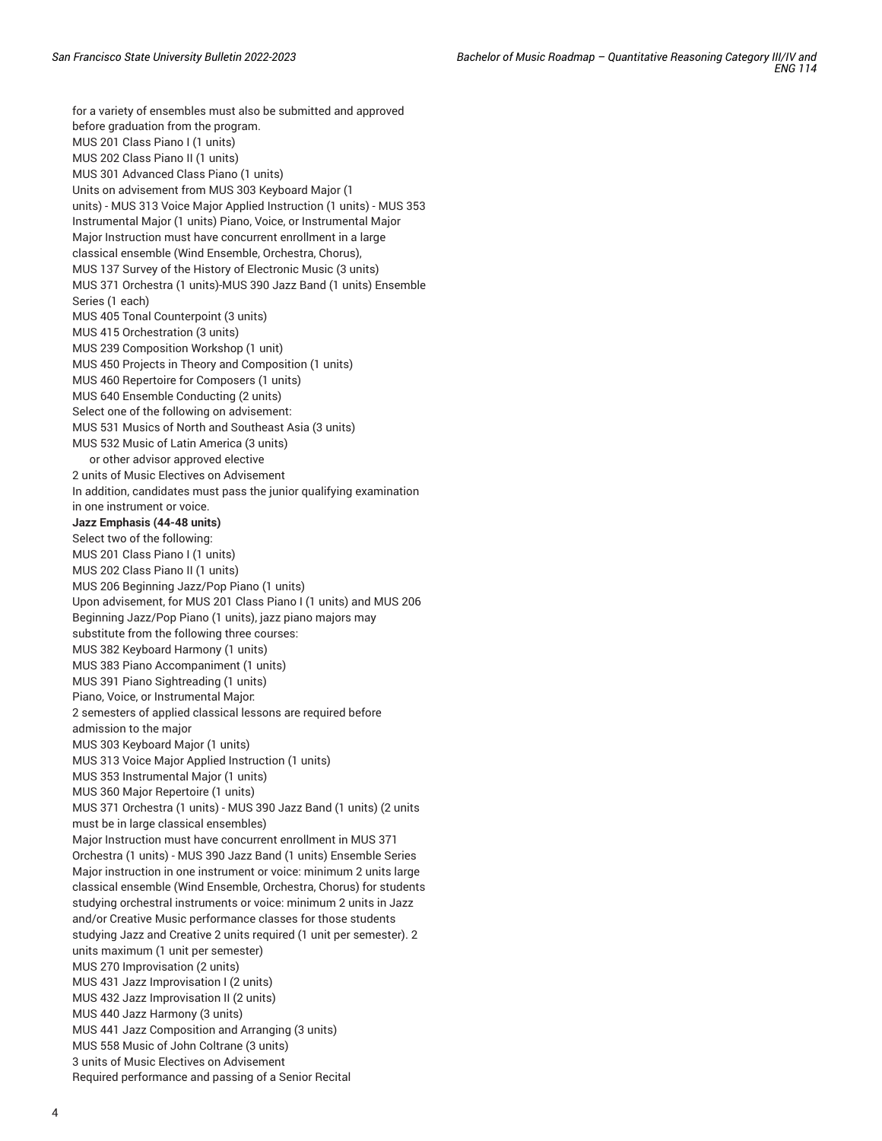for a variety of ensembles must also be submitted and approved before graduation from the program. MUS 201 Class Piano I (1 units) MUS 202 Class Piano II (1 units) MUS 301 Advanced Class Piano (1 units) Units on advisement from MUS 303 Keyboard Major (1 units) - MUS 313 Voice Major Applied Instruction (1 units) - MUS 353 Instrumental Major (1 units) Piano, Voice, or Instrumental Major Major Instruction must have concurrent enrollment in a large classical ensemble (Wind Ensemble, Orchestra, Chorus), MUS 137 Survey of the History of Electronic Music (3 units) MUS 371 Orchestra (1 units)-MUS 390 Jazz Band (1 units) Ensemble Series (1 each) MUS 405 Tonal Counterpoint (3 units) MUS 415 Orchestration (3 units) MUS 239 Composition Workshop (1 unit) MUS 450 Projects in Theory and Composition (1 units) MUS 460 Repertoire for Composers (1 units) MUS 640 Ensemble Conducting (2 units) Select one of the following on advisement: MUS 531 Musics of North and Southeast Asia (3 units) MUS 532 Music of Latin America (3 units) or other advisor approved elective 2 units of Music Electives on Advisement In addition, candidates must pass the junior qualifying examination in one instrument or voice. **Jazz Emphasis (44-48 units)** Select two of the following: MUS 201 Class Piano I (1 units) MUS 202 Class Piano II (1 units) MUS 206 Beginning Jazz/Pop Piano (1 units) Upon advisement, for MUS 201 Class Piano I (1 units) and MUS 206 Beginning Jazz/Pop Piano (1 units), jazz piano majors may substitute from the following three courses: MUS 382 Keyboard Harmony (1 units) MUS 383 Piano Accompaniment (1 units) MUS 391 Piano Sightreading (1 units) Piano, Voice, or Instrumental Major: 2 semesters of applied classical lessons are required before admission to the major MUS 303 Keyboard Major (1 units) MUS 313 Voice Major Applied Instruction (1 units) MUS 353 Instrumental Major (1 units) MUS 360 Major Repertoire (1 units) MUS 371 Orchestra (1 units) - MUS 390 Jazz Band (1 units) (2 units must be in large classical ensembles) Major Instruction must have concurrent enrollment in MUS 371 Orchestra (1 units) - MUS 390 Jazz Band (1 units) Ensemble Series Major instruction in one instrument or voice: minimum 2 units large classical ensemble (Wind Ensemble, Orchestra, Chorus) for students studying orchestral instruments or voice: minimum 2 units in Jazz and/or Creative Music performance classes for those students studying Jazz and Creative 2 units required (1 unit per semester). 2 units maximum (1 unit per semester) MUS 270 Improvisation (2 units) MUS 431 Jazz Improvisation I (2 units) MUS 432 Jazz Improvisation II (2 units) MUS 440 Jazz Harmony (3 units) MUS 441 Jazz Composition and Arranging (3 units) MUS 558 Music of John Coltrane (3 units) 3 units of Music Electives on Advisement Required performance and passing of a Senior Recital